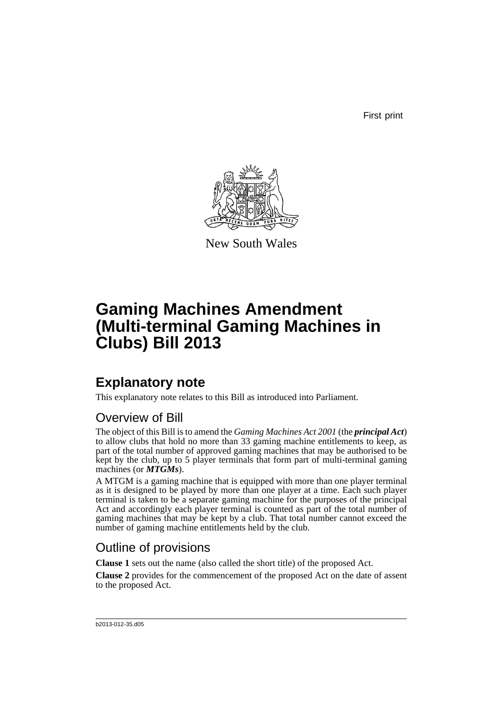First print



New South Wales

# **Gaming Machines Amendment (Multi-terminal Gaming Machines in Clubs) Bill 2013**

## **Explanatory note**

This explanatory note relates to this Bill as introduced into Parliament.

### Overview of Bill

The object of this Bill is to amend the *Gaming Machines Act 2001* (the *principal Act*) to allow clubs that hold no more than 33 gaming machine entitlements to keep, as part of the total number of approved gaming machines that may be authorised to be kept by the club, up to 5 player terminals that form part of multi-terminal gaming machines (or *MTGMs*).

A MTGM is a gaming machine that is equipped with more than one player terminal as it is designed to be played by more than one player at a time. Each such player terminal is taken to be a separate gaming machine for the purposes of the principal Act and accordingly each player terminal is counted as part of the total number of gaming machines that may be kept by a club. That total number cannot exceed the number of gaming machine entitlements held by the club.

### Outline of provisions

**Clause 1** sets out the name (also called the short title) of the proposed Act.

**Clause 2** provides for the commencement of the proposed Act on the date of assent to the proposed Act.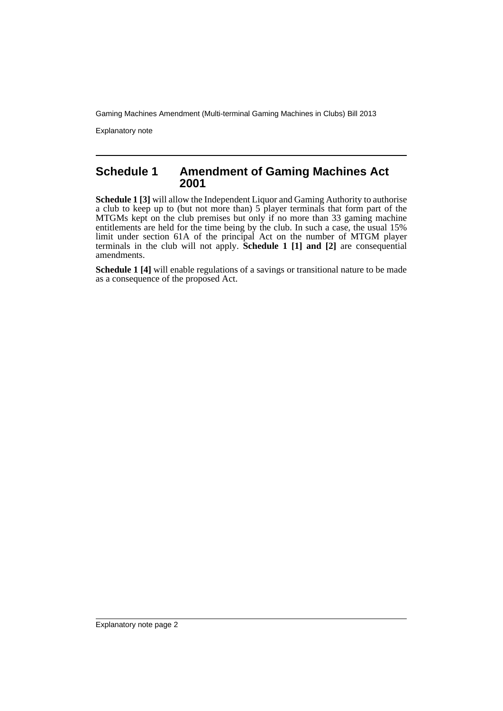Gaming Machines Amendment (Multi-terminal Gaming Machines in Clubs) Bill 2013

Explanatory note

#### **Schedule 1 Amendment of Gaming Machines Act 2001**

**Schedule 1 [3]** will allow the Independent Liquor and Gaming Authority to authorise a club to keep up to (but not more than) 5 player terminals that form part of the MTGMs kept on the club premises but only if no more than 33 gaming machine entitlements are held for the time being by the club. In such a case, the usual 15% limit under section 61A of the principal Act on the number of MTGM player terminals in the club will not apply. **Schedule 1 [1] and [2]** are consequential amendments.

**Schedule 1 [4]** will enable regulations of a savings or transitional nature to be made as a consequence of the proposed Act.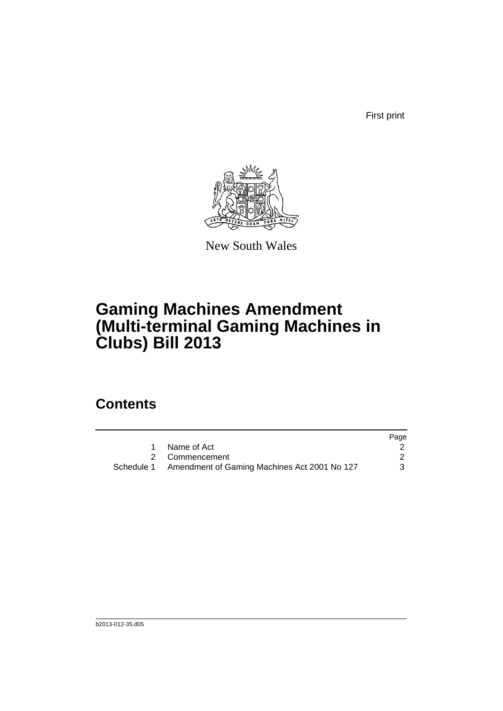First print



New South Wales

# **Gaming Machines Amendment (Multi-terminal Gaming Machines in Clubs) Bill 2013**

### **Contents**

|                                                         | Page |
|---------------------------------------------------------|------|
| Name of Act                                             |      |
| 2 Commencement                                          |      |
| Schedule 1 Amendment of Gaming Machines Act 2001 No 127 |      |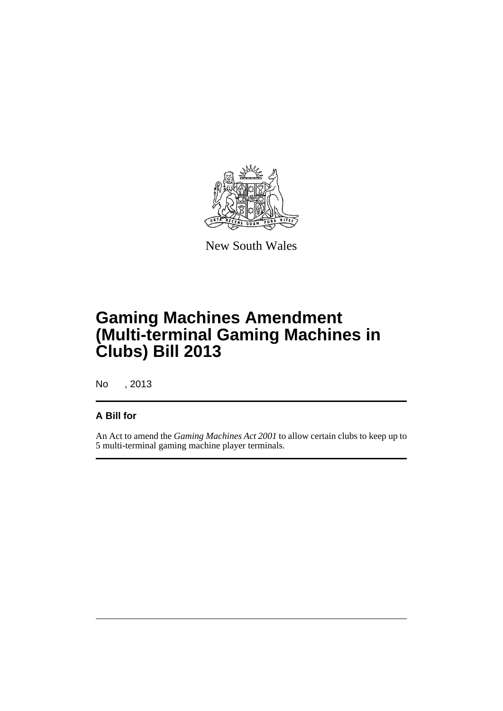

New South Wales

# **Gaming Machines Amendment (Multi-terminal Gaming Machines in Clubs) Bill 2013**

No , 2013

#### **A Bill for**

An Act to amend the *Gaming Machines Act 2001* to allow certain clubs to keep up to 5 multi-terminal gaming machine player terminals.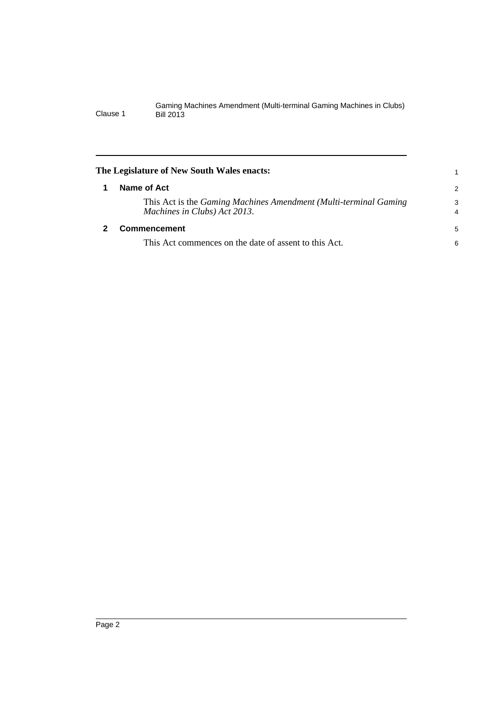<span id="page-5-1"></span><span id="page-5-0"></span>

| The Legislature of New South Wales enacts: |                                                                                                                |                     |  |
|--------------------------------------------|----------------------------------------------------------------------------------------------------------------|---------------------|--|
|                                            | Name of Act                                                                                                    | 2                   |  |
|                                            | This Act is the <i>Gaming Machines Amendment</i> (Multi-terminal <i>Gaming</i><br>Machines in Clubs) Act 2013. | 3<br>$\overline{4}$ |  |
|                                            | Commencement                                                                                                   | 5                   |  |
|                                            | This Act commences on the date of assent to this Act.                                                          | 6                   |  |